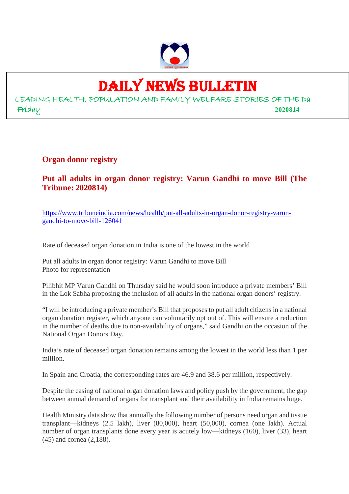

## DAILY NEWS BULLETIN

LEADING HEALTH, POPULATION AND FAMILY WELFARE STORIES OF THE Da Friday **2020814**

**Organ donor registry**

**Put all adults in organ donor registry: Varun Gandhi to move Bill (The Tribune: 2020814)**

https://www.tribuneindia.com/news/health/put-all-adults-in-organ-donor-registry-varungandhi-to-move-bill-126041

Rate of deceased organ donation in India is one of the lowest in the world

Put all adults in organ donor registry: Varun Gandhi to move Bill Photo for representation

Pilibhit MP Varun Gandhi on Thursday said he would soon introduce a private members' Bill in the Lok Sabha proposing the inclusion of all adults in the national organ donors' registry.

"I will be introducing a private member's Bill that proposes to put all adult citizens in a national organ donation register, which anyone can voluntarily opt out of. This will ensure a reduction in the number of deaths due to non-availability of organs," said Gandhi on the occasion of the National Organ Donors Day.

India's rate of deceased organ donation remains among the lowest in the world less than 1 per million.

In Spain and Croatia, the corresponding rates are 46.9 and 38.6 per million, respectively.

Despite the easing of national organ donation laws and policy push by the government, the gap between annual demand of organs for transplant and their availability in India remains huge.

Health Ministry data show that annually the following number of persons need organ and tissue transplant—kidneys (2.5 lakh), liver (80,000), heart (50,000), cornea (one lakh). Actual number of organ transplants done every year is acutely low—kidneys (160), liver (33), heart (45) and cornea (2,188).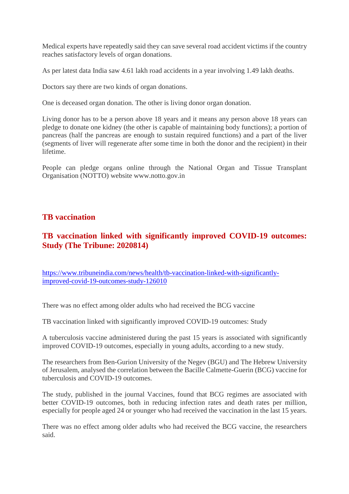Medical experts have repeatedly said they can save several road accident victims if the country reaches satisfactory levels of organ donations.

As per latest data India saw 4.61 lakh road accidents in a year involving 1.49 lakh deaths.

Doctors say there are two kinds of organ donations.

One is deceased organ donation. The other is living donor organ donation.

Living donor has to be a person above 18 years and it means any person above 18 years can pledge to donate one kidney (the other is capable of maintaining body functions); a portion of pancreas (half the pancreas are enough to sustain required functions) and a part of the liver (segments of liver will regenerate after some time in both the donor and the recipient) in their lifetime.

People can pledge organs online through the National Organ and Tissue Transplant Organisation (NOTTO) website www.notto.gov.in

## **TB vaccination**

## **TB vaccination linked with significantly improved COVID-19 outcomes: Study (The Tribune: 2020814)**

https://www.tribuneindia.com/news/health/tb-vaccination-linked-with-significantlyimproved-covid-19-outcomes-study-126010

There was no effect among older adults who had received the BCG vaccine

TB vaccination linked with significantly improved COVID-19 outcomes: Study

A tuberculosis vaccine administered during the past 15 years is associated with significantly improved COVID-19 outcomes, especially in young adults, according to a new study.

The researchers from Ben-Gurion University of the Negev (BGU) and The Hebrew University of Jerusalem, analysed the correlation between the Bacille Calmette-Guerin (BCG) vaccine for tuberculosis and COVID-19 outcomes.

The study, published in the journal Vaccines, found that BCG regimes are associated with better COVID-19 outcomes, both in reducing infection rates and death rates per million, especially for people aged 24 or younger who had received the vaccination in the last 15 years.

There was no effect among older adults who had received the BCG vaccine, the researchers said.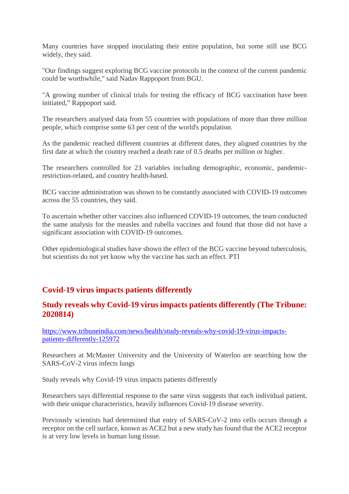Many countries have stopped inoculating their entire population, but some still use BCG widely, they said.

"Our findings suggest exploring BCG vaccine protocols in the context of the current pandemic could be worthwhile," said Nadav Rappoport from BGU.

"A growing number of clinical trials for testing the efficacy of BCG vaccination have been initiated," Rappoport said.

The researchers analysed data from 55 countries with populations of more than three million people, which comprise some 63 per cent of the world's population.

As the pandemic reached different countries at different dates, they aligned countries by the first date at which the country reached a death rate of 0.5 deaths per million or higher.

The researchers controlled for 23 variables including demographic, economic, pandemicrestriction-related, and country health-based.

BCG vaccine administration was shown to be constantly associated with COVID-19 outcomes across the 55 countries, they said.

To ascertain whether other vaccines also influenced COVID-19 outcomes, the team conducted the same analysis for the measles and rubella vaccines and found that those did not have a significant association with COVID-19 outcomes.

Other epidemiological studies have shown the effect of the BCG vaccine beyond tuberculosis, but scientists do not yet know why the vaccine has such an effect. PTI

## **Covid-19 virus impacts patients differently**

#### **Study reveals why Covid-19 virus impacts patients differently (The Tribune: 2020814)**

https://www.tribuneindia.com/news/health/study-reveals-why-covid-19-virus-impactspatients-differently-125972

Researchers at McMaster University and the University of Waterloo are searching how the SARS-CoV-2 virus infects lungs

Study reveals why Covid-19 virus impacts patients differently

Researchers says differential response to the same virus suggests that each individual patient, with their unique characteristics, heavily influences Covid-19 disease severity.

Previously scientists had determined that entry of SARS-CoV-2 into cells occurs through a receptor on the cell surface, known as ACE2 but a new study has found that the ACE2 receptor is at very low levels in human lung tissue.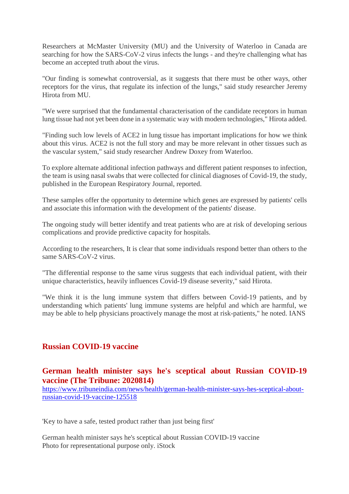Researchers at McMaster University (MU) and the University of Waterloo in Canada are searching for how the SARS-CoV-2 virus infects the lungs - and they're challenging what has become an accepted truth about the virus.

"Our finding is somewhat controversial, as it suggests that there must be other ways, other receptors for the virus, that regulate its infection of the lungs," said study researcher Jeremy Hirota from MU.

"We were surprised that the fundamental characterisation of the candidate receptors in human lung tissue had not yet been done in a systematic way with modern technologies," Hirota added.

"Finding such low levels of ACE2 in lung tissue has important implications for how we think about this virus. ACE2 is not the full story and may be more relevant in other tissues such as the vascular system," said study researcher Andrew Doxey from Waterloo.

To explore alternate additional infection pathways and different patient responses to infection, the team is using nasal swabs that were collected for clinical diagnoses of Covid-19, the study, published in the European Respiratory Journal, reported.

These samples offer the opportunity to determine which genes are expressed by patients' cells and associate this information with the development of the patients' disease.

The ongoing study will better identify and treat patients who are at risk of developing serious complications and provide predictive capacity for hospitals.

According to the researchers, It is clear that some individuals respond better than others to the same SARS-CoV-2 virus.

"The differential response to the same virus suggests that each individual patient, with their unique characteristics, heavily influences Covid-19 disease severity," said Hirota.

"We think it is the lung immune system that differs between Covid-19 patients, and by understanding which patients' lung immune systems are helpful and which are harmful, we may be able to help physicians proactively manage the most at risk-patients," he noted. IANS

#### **Russian COVID-19 vaccine**

#### **German health minister says he's sceptical about Russian COVID-19 vaccine (The Tribune: 2020814)**

https://www.tribuneindia.com/news/health/german-health-minister-says-hes-sceptical-aboutrussian-covid-19-vaccine-125518

'Key to have a safe, tested product rather than just being first'

German health minister says he's sceptical about Russian COVID-19 vaccine Photo for representational purpose only. iStock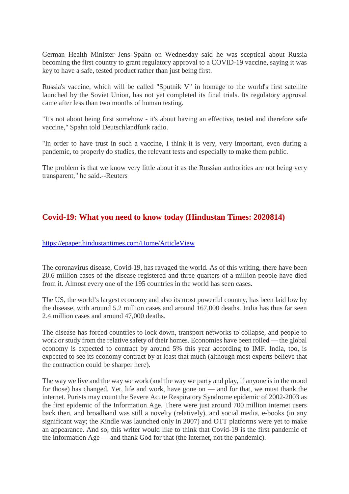German Health Minister Jens Spahn on Wednesday said he was sceptical about Russia becoming the first country to grant regulatory approval to a COVID-19 vaccine, saying it was key to have a safe, tested product rather than just being first.

Russia's vaccine, which will be called "Sputnik V" in homage to the world's first satellite launched by the Soviet Union, has not yet completed its final trials. Its regulatory approval came after less than two months of human testing.

"It's not about being first somehow - it's about having an effective, tested and therefore safe vaccine," Spahn told Deutschlandfunk radio.

"In order to have trust in such a vaccine, I think it is very, very important, even during a pandemic, to properly do studies, the relevant tests and especially to make them public.

The problem is that we know very little about it as the Russian authorities are not being very transparent," he said.--Reuters

## **Covid-19: What you need to know today (Hindustan Times: 2020814)**

#### https://epaper.hindustantimes.com/Home/ArticleView

The coronavirus disease, Covid-19, has ravaged the world. As of this writing, there have been 20.6 million cases of the disease registered and three quarters of a million people have died from it. Almost every one of the 195 countries in the world has seen cases.

The US, the world's largest economy and also its most powerful country, has been laid low by the disease, with around 5.2 million cases and around 167,000 deaths. India has thus far seen 2.4 million cases and around 47,000 deaths.

The disease has forced countries to lock down, transport networks to collapse, and people to work or study from the relative safety of their homes. Economies have been roiled — the global economy is expected to contract by around 5% this year according to IMF. India, too, is expected to see its economy contract by at least that much (although most experts believe that the contraction could be sharper here).

The way we live and the way we work (and the way we party and play, if anyone is in the mood for those) has changed. Yet, life and work, have gone on — and for that, we must thank the internet. Purists may count the Severe Acute Respiratory Syndrome epidemic of 2002-2003 as the first epidemic of the Information Age. There were just around 700 million internet users back then, and broadband was still a novelty (relatively), and social media, e-books (in any significant way; the Kindle was launched only in 2007) and OTT platforms were yet to make an appearance. And so, this writer would like to think that Covid-19 is the first pandemic of the Information Age — and thank God for that (the internet, not the pandemic).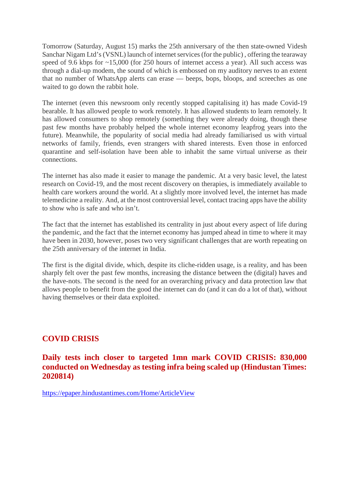Tomorrow (Saturday, August 15) marks the 25th anniversary of the then state-owned Videsh Sanchar Nigam Ltd's (VSNL) launch of internet services (for the public) , offering the tearaway speed of 9.6 kbps for ~15,000 (for 250 hours of internet access a year). All such access was through a dial-up modem, the sound of which is embossed on my auditory nerves to an extent that no number of WhatsApp alerts can erase — beeps, bops, bloops, and screeches as one waited to go down the rabbit hole.

The internet (even this newsroom only recently stopped capitalising it) has made Covid-19 bearable. It has allowed people to work remotely. It has allowed students to learn remotely. It has allowed consumers to shop remotely (something they were already doing, though these past few months have probably helped the whole internet economy leapfrog years into the future). Meanwhile, the popularity of social media had already familiarised us with virtual networks of family, friends, even strangers with shared interests. Even those in enforced quarantine and self-isolation have been able to inhabit the same virtual universe as their connections.

The internet has also made it easier to manage the pandemic. At a very basic level, the latest research on Covid-19, and the most recent discovery on therapies, is immediately available to health care workers around the world. At a slightly more involved level, the internet has made telemedicine a reality. And, at the most controversial level, contact tracing apps have the ability to show who is safe and who isn't.

The fact that the internet has established its centrality in just about every aspect of life during the pandemic, and the fact that the internet economy has jumped ahead in time to where it may have been in 2030, however, poses two very significant challenges that are worth repeating on the 25th anniversary of the internet in India.

The first is the digital divide, which, despite its cliche-ridden usage, is a reality, and has been sharply felt over the past few months, increasing the distance between the (digital) haves and the have-nots. The second is the need for an overarching privacy and data protection law that allows people to benefit from the good the internet can do (and it can do a lot of that), without having themselves or their data exploited.

## **COVID CRISIS**

**Daily tests inch closer to targeted 1mn mark COVID CRISIS: 830,000 conducted on Wednesday as testing infra being scaled up (Hindustan Times: 2020814)**

https://epaper.hindustantimes.com/Home/ArticleView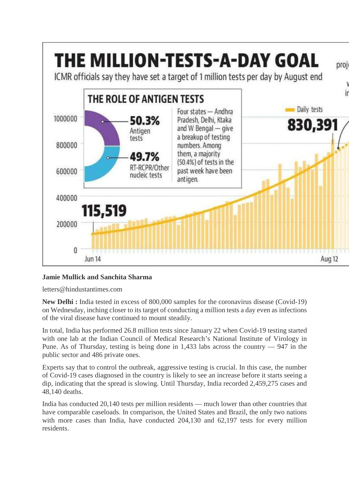

#### **Jamie Mullick and Sanchita Sharma**

letters@hindustantimes.com

**New Delhi :** India tested in excess of 800,000 samples for the coronavirus disease (Covid-19) on Wednesday, inching closer to its target of conducting a million tests a day even as infections of the viral disease have continued to mount steadily.

In total, India has performed 26.8 million tests since January 22 when Covid-19 testing started with one lab at the Indian Council of Medical Research's National Institute of Virology in Pune. As of Thursday, testing is being done in 1,433 labs across the country — 947 in the public sector and 486 private ones.

Experts say that to control the outbreak, aggressive testing is crucial. In this case, the number of Covid-19 cases diagnosed in the country is likely to see an increase before it starts seeing a dip, indicating that the spread is slowing. Until Thursday, India recorded 2,459,275 cases and 48,140 deaths.

India has conducted 20,140 tests per million residents — much lower than other countries that have comparable caseloads. In comparison, the United States and Brazil, the only two nations with more cases than India, have conducted 204,130 and 62,197 tests for every million residents.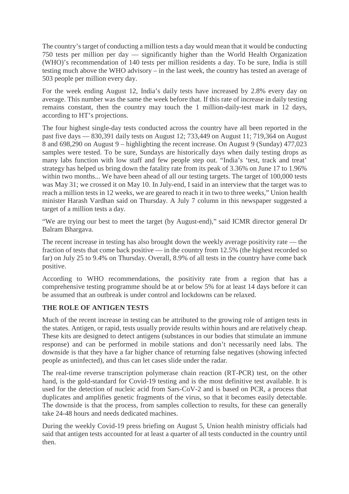The country's target of conducting a million tests a day would mean that it would be conducting 750 tests per million per day — significantly higher than the World Health Organization (WHO)'s recommendation of 140 tests per million residents a day. To be sure, India is still testing much above the WHO advisory – in the last week, the country has tested an average of 503 people per million every day.

For the week ending August 12, India's daily tests have increased by 2.8% every day on average. This number was the same the week before that. If this rate of increase in daily testing remains constant, then the country may touch the 1 million-daily-test mark in 12 days, according to HT's projections.

The four highest single-day tests conducted across the country have all been reported in the past five days — 830,391 daily tests on August 12; 733,449 on August 11; 719,364 on August 8 and 698,290 on August 9 – highlighting the recent increase. On August 9 (Sunday) 477,023 samples were tested. To be sure, Sundays are historically days when daily testing drops as many labs function with low staff and few people step out. "India's 'test, track and treat' strategy has helped us bring down the fatality rate from its peak of 3.36% on June 17 to 1.96% within two months... We have been ahead of all our testing targets. The target of 100,000 tests was May 31; we crossed it on May 10. In July-end, I said in an interview that the target was to reach a million tests in 12 weeks, we are geared to reach it in two to three weeks," Union health minister Harash Vardhan said on Thursday. A July 7 column in this newspaper suggested a target of a million tests a day.

"We are trying our best to meet the target (by August-end)," said ICMR director general Dr Balram Bhargava.

The recent increase in testing has also brought down the weekly average positivity rate — the fraction of tests that come back positive — in the country from 12.5% (the highest recorded so far) on July 25 to 9.4% on Thursday. Overall, 8.9% of all tests in the country have come back positive.

According to WHO recommendations, the positivity rate from a region that has a comprehensive testing programme should be at or below 5% for at least 14 days before it can be assumed that an outbreak is under control and lockdowns can be relaxed.

#### **THE ROLE OF ANTIGEN TESTS**

Much of the recent increase in testing can be attributed to the growing role of antigen tests in the states. Antigen, or rapid, tests usually provide results within hours and are relatively cheap. These kits are designed to detect antigens (substances in our bodies that stimulate an immune response) and can be performed in mobile stations and don't necessarily need labs. The downside is that they have a far higher chance of returning false negatives (showing infected people as uninfected), and thus can let cases slide under the radar.

The real-time reverse transcription polymerase chain reaction (RT-PCR) test, on the other hand, is the gold-standard for Covid-19 testing and is the most definitive test available. It is used for the detection of nucleic acid from Sars-CoV-2 and is based on PCR, a process that duplicates and amplifies genetic fragments of the virus, so that it becomes easily detectable. The downside is that the process, from samples collection to results, for these can generally take 24-48 hours and needs dedicated machines.

During the weekly Covid-19 press briefing on August 5, Union health ministry officials had said that antigen tests accounted for at least a quarter of all tests conducted in the country until then.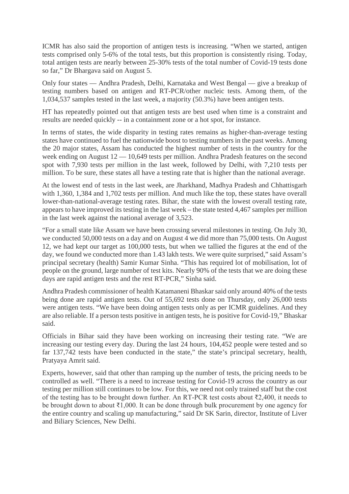ICMR has also said the proportion of antigen tests is increasing. "When we started, antigen tests comprised only 5-6% of the total tests, but this proportion is consistently rising. Today, total antigen tests are nearly between 25-30% tests of the total number of Covid-19 tests done so far," Dr Bhargava said on August 5.

Only four states — Andhra Pradesh, Delhi, Karnataka and West Bengal — give a breakup of testing numbers based on antigen and RT-PCR/other nucleic tests. Among them, of the 1,034,537 samples tested in the last week, a majority (50.3%) have been antigen tests.

HT has repeatedly pointed out that antigen tests are best used when time is a constraint and results are needed quickly -- in a containment zone or a hot spot, for instance.

In terms of states, the wide disparity in testing rates remains as higher-than-average testing states have continued to fuel the nationwide boost to testing numbers in the past weeks. Among the 20 major states, Assam has conducted the highest number of tests in the country for the week ending on August 12 — 10,649 tests per million. Andhra Pradesh features on the second spot with 7,930 tests per million in the last week, followed by Delhi, with 7,210 tests per million. To be sure, these states all have a testing rate that is higher than the national average.

At the lowest end of tests in the last week, are Jharkhand, Madhya Pradesh and Chhattisgarh with 1,360, 1,384 and 1,702 tests per million. And much like the top, these states have overall lower-than-national-average testing rates. Bihar, the state with the lowest overall testing rate, appears to have improved its testing in the last week – the state tested 4,467 samples per million in the last week against the national average of 3,523.

"For a small state like Assam we have been crossing several milestones in testing. On July 30, we conducted 50,000 tests on a day and on August 4 we did more than 75,000 tests. On August 12, we had kept our target as 100,000 tests, but when we tallied the figures at the end of the day, we found we conducted more than 1.43 lakh tests. We were quite surprised," said Assam's principal secretary (health) Samir Kumar Sinha. "This has required lot of mobilisation, lot of people on the ground, large number of test kits. Nearly 90% of the tests that we are doing these days are rapid antigen tests and the rest RT-PCR," Sinha said.

Andhra Pradesh commissioner of health Katamaneni Bhaskar said only around 40% of the tests being done are rapid antigen tests. Out of 55,692 tests done on Thursday, only 26,000 tests were antigen tests. "We have been doing antigen tests only as per ICMR guidelines. And they are also reliable. If a person tests positive in antigen tests, he is positive for Covid-19," Bhaskar said.

Officials in Bihar said they have been working on increasing their testing rate. "We are increasing our testing every day. During the last 24 hours, 104,452 people were tested and so far 137,742 tests have been conducted in the state," the state's principal secretary, health, Pratyaya Amrit said.

Experts, however, said that other than ramping up the number of tests, the pricing needs to be controlled as well. "There is a need to increase testing for Covid-19 across the country as our testing per million still continues to be low. For this, we need not only trained staff but the cost of the testing has to be brought down further. An RT-PCR test costs about ₹2,400, it needs to be brought down to about ₹1,000. It can be done through bulk procurement by one agency for the entire country and scaling up manufacturing," said Dr SK Sarin, director, Institute of Liver and Biliary Sciences, New Delhi.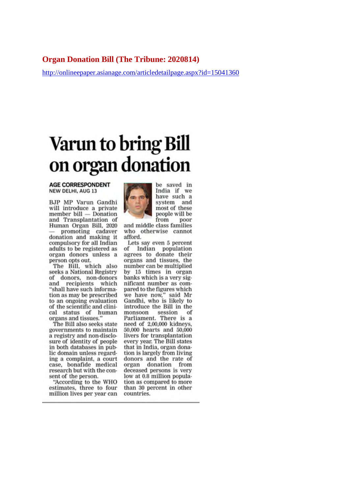#### **Organ Donation Bill (The Tribune: 2020814)**

http://onlineepaper.asianage.com/articledetailpage.aspx?id=15041360

# **Varun to bring Bill** on organ donation

#### **AGE CORRESPONDENT** NEW DELHI, AUG 13

BJP MP Varun Gandhi will introduce a private member bill - Donation and Transplantation of Human Organ Bill, 2020 promoting cadaver donation and making it compulsory for all Indian adults to be registered as organ donors unless a person opts out.

The Bill, which also seeks a National Registry of donors, non-donors and recipients which "shall have such information as may be prescribed to an ongoing evaluation of the scientific and clinical status of human<br>organs and tissues."

The Bill also seeks state governments to maintain a registry and non-disclosure of identity of people in both databases in public domain unless regarding a complaint, a court case, bonafide medical research but with the consent of the person.

"According to the WHO estimates, three to four million lives per year can



be saved in<br>India if we have such a system and most of these people will be from poor

and middle class families who otherwise cannot afford.

Lets say even 5 percent of Indian population agrees to donate their organs and tissues, the number can be multiplied by 15 times in organ banks which is a very significant number as compared to the figures which we have now," said Mr<br>Gandhi, who is likely to introduce the Bill in the session monsoon of Parliament. There is a need of 2,00,000 kidneys, 50,000 hearts and 50,000 livers for transplantation every year. The Bill states that in India, organ donation is largely from living donors and the rate of organ donation from deceased persons is very low at 0.8 million population as compared to more than 30 percent in other countries.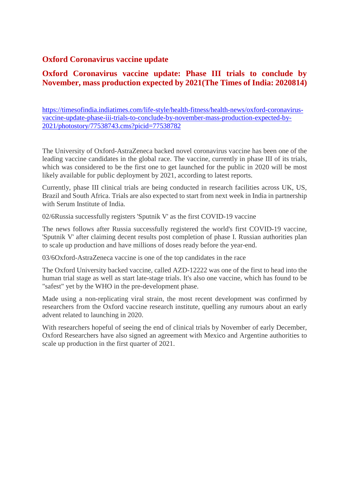## **Oxford Coronavirus vaccine update**

## **Oxford Coronavirus vaccine update: Phase III trials to conclude by November, mass production expected by 2021(The Times of India: 2020814)**

https://timesofindia.indiatimes.com/life-style/health-fitness/health-news/oxford-coronavirusvaccine-update-phase-iii-trials-to-conclude-by-november-mass-production-expected-by-2021/photostory/77538743.cms?picid=77538782

The University of Oxford-AstraZeneca backed novel coronavirus vaccine has been one of the leading vaccine candidates in the global race. The vaccine, currently in phase III of its trials, which was considered to be the first one to get launched for the public in 2020 will be most likely available for public deployment by 2021, according to latest reports.

Currently, phase III clinical trials are being conducted in research facilities across UK, US, Brazil and South Africa. Trials are also expected to start from next week in India in partnership with Serum Institute of India.

02/6Russia successfully registers 'Sputnik V' as the first COVID-19 vaccine

The news follows after Russia successfully registered the world's first COVID-19 vaccine, 'Sputnik V' after claiming decent results post completion of phase I. Russian authorities plan to scale up production and have millions of doses ready before the year-end.

03/6Oxford-AstraZeneca vaccine is one of the top candidates in the race

The Oxford University backed vaccine, called AZD-12222 was one of the first to head into the human trial stage as well as start late-stage trials. It's also one vaccine, which has found to be "safest" yet by the WHO in the pre-development phase.

Made using a non-replicating viral strain, the most recent development was confirmed by researchers from the Oxford vaccine research institute, quelling any rumours about an early advent related to launching in 2020.

With researchers hopeful of seeing the end of clinical trials by November of early December, Oxford Researchers have also signed an agreement with Mexico and Argentine authorities to scale up production in the first quarter of 2021.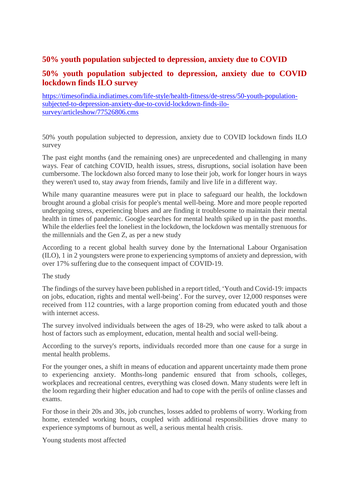## **50% youth population subjected to depression, anxiety due to COVID**

## **50% youth population subjected to depression, anxiety due to COVID lockdown finds ILO survey**

https://timesofindia.indiatimes.com/life-style/health-fitness/de-stress/50-youth-populationsubjected-to-depression-anxiety-due-to-covid-lockdown-finds-ilosurvey/articleshow/77526806.cms

50% youth population subjected to depression, anxiety due to COVID lockdown finds ILO survey

The past eight months (and the remaining ones) are unprecedented and challenging in many ways. Fear of catching COVID, health issues, stress, disruptions, social isolation have been cumbersome. The lockdown also forced many to lose their job, work for longer hours in ways they weren't used to, stay away from friends, family and live life in a different way.

While many quarantine measures were put in place to safeguard our health, the lockdown brought around a global crisis for people's mental well-being. More and more people reported undergoing stress, experiencing blues and are finding it troublesome to maintain their mental health in times of pandemic. Google searches for mental health spiked up in the past months. While the elderlies feel the loneliest in the lockdown, the lockdown was mentally strenuous for the millennials and the Gen Z, as per a new study

According to a recent global health survey done by the International Labour Organisation (ILO), 1 in 2 youngsters were prone to experiencing symptoms of anxiety and depression, with over 17% suffering due to the consequent impact of COVID-19.

The study

The findings of the survey have been published in a report titled, 'Youth and Covid-19: impacts on jobs, education, rights and mental well-being'. For the survey, over 12,000 responses were received from 112 countries, with a large proportion coming from educated youth and those with internet access.

The survey involved individuals between the ages of 18-29, who were asked to talk about a host of factors such as employment, education, mental health and social well-being.

According to the survey's reports, individuals recorded more than one cause for a surge in mental health problems.

For the younger ones, a shift in means of education and apparent uncertainty made them prone to experiencing anxiety. Months-long pandemic ensured that from schools, colleges, workplaces and recreational centres, everything was closed down. Many students were left in the loom regarding their higher education and had to cope with the perils of online classes and exams.

For those in their 20s and 30s, job crunches, losses added to problems of worry. Working from home, extended working hours, coupled with additional responsibilities drove many to experience symptoms of burnout as well, a serious mental health crisis.

Young students most affected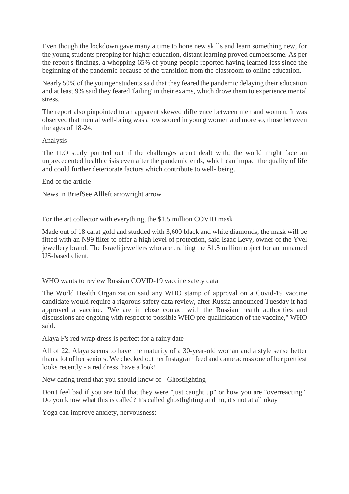Even though the lockdown gave many a time to hone new skills and learn something new, for the young students prepping for higher education, distant learning proved cumbersome. As per the report's findings, a whopping 65% of young people reported having learned less since the beginning of the pandemic because of the transition from the classroom to online education.

Nearly 50% of the younger students said that they feared the pandemic delaying their education and at least 9% said they feared 'failing' in their exams, which drove them to experience mental stress.

The report also pinpointed to an apparent skewed difference between men and women. It was observed that mental well-being was a low scored in young women and more so, those between the ages of 18-24.

#### Analysis

The ILO study pointed out if the challenges aren't dealt with, the world might face an unprecedented health crisis even after the pandemic ends, which can impact the quality of life and could further deteriorate factors which contribute to well- being.

End of the article

News in BriefSee Allleft arrowright arrow

For the art collector with everything, the \$1.5 million COVID mask

Made out of 18 carat gold and studded with 3,600 black and white diamonds, the mask will be fitted with an N99 filter to offer a high level of protection, said Isaac Levy, owner of the Yvel jewellery brand. The Israeli jewellers who are crafting the \$1.5 million object for an unnamed US-based client.

WHO wants to review Russian COVID-19 vaccine safety data

The World Health Organization said any WHO stamp of approval on a Covid-19 vaccine candidate would require a rigorous safety data review, after Russia announced Tuesday it had approved a vaccine. "We are in close contact with the Russian health authorities and discussions are ongoing with respect to possible WHO pre-qualification of the vaccine," WHO said.

Alaya F's red wrap dress is perfect for a rainy date

All of 22, Alaya seems to have the maturity of a 30-year-old woman and a style sense better than a lot of her seniors. We checked out her Instagram feed and came across one of her prettiest looks recently - a red dress, have a look!

New dating trend that you should know of - Ghostlighting

Don't feel bad if you are told that they were "just caught up" or how you are "overreacting". Do you know what this is called? It's called ghostlighting and no, it's not at all okay

Yoga can improve anxiety, nervousness: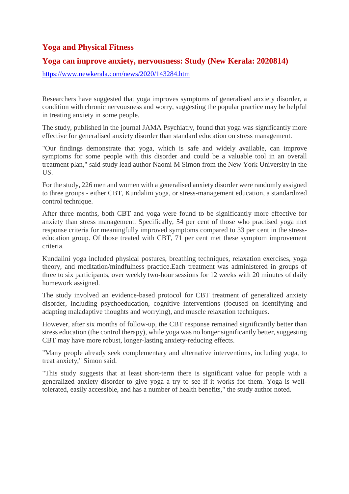## **Yoga and Physical Fitness**

#### **Yoga can improve anxiety, nervousness: Study (New Kerala: 2020814)**

https://www.newkerala.com/news/2020/143284.htm

Researchers have suggested that yoga improves symptoms of generalised anxiety disorder, a condition with chronic nervousness and worry, suggesting the popular practice may be helpful in treating anxiety in some people.

The study, published in the journal JAMA Psychiatry, found that yoga was significantly more effective for generalised anxiety disorder than standard education on stress management.

"Our findings demonstrate that yoga, which is safe and widely available, can improve symptoms for some people with this disorder and could be a valuable tool in an overall treatment plan," said study lead author Naomi M Simon from the New York University in the US.

For the study, 226 men and women with a generalised anxiety disorder were randomly assigned to three groups - either CBT, Kundalini yoga, or stress-management education, a standardized control technique.

After three months, both CBT and yoga were found to be significantly more effective for anxiety than stress management. Specifically, 54 per cent of those who practised yoga met response criteria for meaningfully improved symptoms compared to 33 per cent in the stresseducation group. Of those treated with CBT, 71 per cent met these symptom improvement criteria.

Kundalini yoga included physical postures, breathing techniques, relaxation exercises, yoga theory, and meditation/mindfulness practice.Each treatment was administered in groups of three to six participants, over weekly two-hour sessions for 12 weeks with 20 minutes of daily homework assigned.

The study involved an evidence-based protocol for CBT treatment of generalized anxiety disorder, including psychoeducation, cognitive interventions (focused on identifying and adapting maladaptive thoughts and worrying), and muscle relaxation techniques.

However, after six months of follow-up, the CBT response remained significantly better than stress education (the control therapy), while yoga was no longer significantly better, suggesting CBT may have more robust, longer-lasting anxiety-reducing effects.

"Many people already seek complementary and alternative interventions, including yoga, to treat anxiety," Simon said.

"This study suggests that at least short-term there is significant value for people with a generalized anxiety disorder to give yoga a try to see if it works for them. Yoga is welltolerated, easily accessible, and has a number of health benefits," the study author noted.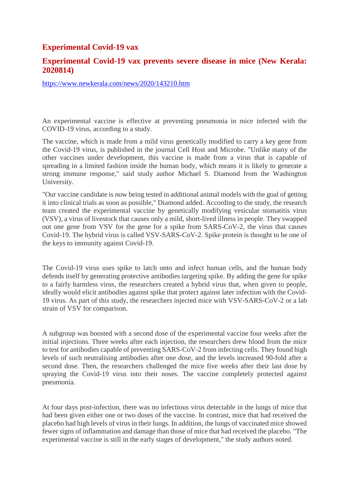#### **Experimental Covid-19 vax**

#### **Experimental Covid-19 vax prevents severe disease in mice (New Kerala: 2020814)**

https://www.newkerala.com/news/2020/143210.htm

An experimental vaccine is effective at preventing pneumonia in mice infected with the COVID-19 virus, according to a study.

The vaccine, which is made from a mild virus genetically modified to carry a key gene from the Covid-19 virus, is published in the journal Cell Host and Microbe. "Unlike many of the other vaccines under development, this vaccine is made from a virus that is capable of spreading in a limited fashion inside the human body, which means it is likely to generate a strong immune response," said study author Michael S. Diamond from the Washington University.

"Our vaccine candidate is now being tested in additional animal models with the goal of getting it into clinical trials as soon as possible," Diamond added. According to the study, the research team created the experimental vaccine by genetically modifying vesicular stomatitis virus (VSV), a virus of livestock that causes only a mild, short-lived illness in people. They swapped out one gene from VSV for the gene for a spike from SARS-CoV-2, the virus that causes Covid-19. The hybrid virus is called VSV-SARS-CoV-2. Spike protein is thought to be one of the keys to immunity against Covid-19.

The Covid-19 virus uses spike to latch onto and infect human cells, and the human body defends itself by generating protective antibodies targeting spike. By adding the gene for spike to a fairly harmless virus, the researchers created a hybrid virus that, when given to people, ideally would elicit antibodies against spike that protect against later infection with the Covid-19 virus. As part of this study, the researchers injected mice with VSV-SARS-CoV-2 or a lab strain of VSV for comparison.

A subgroup was boosted with a second dose of the experimental vaccine four weeks after the initial injections. Three weeks after each injection, the researchers drew blood from the mice to test for antibodies capable of preventing SARS-CoV-2 from infecting cells. They found high levels of such neutralising antibodies after one dose, and the levels increased 90-fold after a second dose. Then, the researchers challenged the mice five weeks after their last dose by spraying the Covid-19 virus into their noses. The vaccine completely protected against pneumonia.

At four days post-infection, there was no infectious virus detectable in the lungs of mice that had been given either one or two doses of the vaccine. In contrast, mice that had received the placebo had high levels of virus in their lungs. In addition, the lungs of vaccinated mice showed fewer signs of inflammation and damage than those of mice that had received the placebo. "The experimental vaccine is still in the early stages of development," the study authors noted.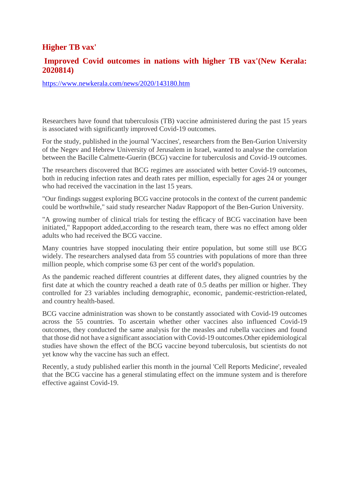## **Higher TB vax'**

#### **Improved Covid outcomes in nations with higher TB vax'(New Kerala: 2020814)**

https://www.newkerala.com/news/2020/143180.htm

Researchers have found that tuberculosis (TB) vaccine administered during the past 15 years is associated with significantly improved Covid-19 outcomes.

For the study, published in the journal 'Vaccines', researchers from the Ben-Gurion University of the Negev and Hebrew University of Jerusalem in Israel, wanted to analyse the correlation between the Bacille Calmette-Guerin (BCG) vaccine for tuberculosis and Covid-19 outcomes.

The researchers discovered that BCG regimes are associated with better Covid-19 outcomes, both in reducing infection rates and death rates per million, especially for ages 24 or younger who had received the vaccination in the last 15 years.

"Our findings suggest exploring BCG vaccine protocols in the context of the current pandemic could be worthwhile," said study researcher Nadav Rappoport of the Ben-Gurion University.

"A growing number of clinical trials for testing the efficacy of BCG vaccination have been initiated," Rappoport added,according to the research team, there was no effect among older adults who had received the BCG vaccine.

Many countries have stopped inoculating their entire population, but some still use BCG widely. The researchers analysed data from 55 countries with populations of more than three million people, which comprise some 63 per cent of the world's population.

As the pandemic reached different countries at different dates, they aligned countries by the first date at which the country reached a death rate of 0.5 deaths per million or higher. They controlled for 23 variables including demographic, economic, pandemic-restriction-related, and country health-based.

BCG vaccine administration was shown to be constantly associated with Covid-19 outcomes across the 55 countries. To ascertain whether other vaccines also influenced Covid-19 outcomes, they conducted the same analysis for the measles and rubella vaccines and found that those did not have a significant association with Covid-19 outcomes.Other epidemiological studies have shown the effect of the BCG vaccine beyond tuberculosis, but scientists do not yet know why the vaccine has such an effect.

Recently, a study published earlier this month in the journal 'Cell Reports Medicine', revealed that the BCG vaccine has a general stimulating effect on the immune system and is therefore effective against Covid-19.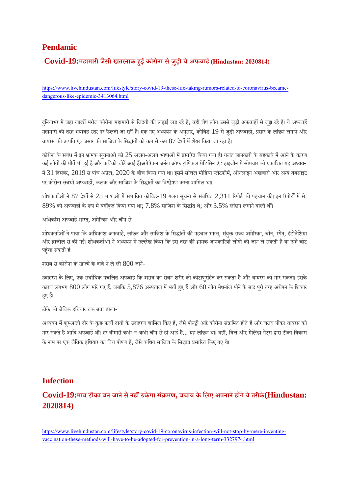#### **Pendamic**

## **Covid-19:महामारी जैसी खतरनाक हई कोरोना सेजुड़ी येअफवाह(Hindustan: 2020814)**

https://www.livehindustan.com/lifestyle/story-covid-19-these-life-taking-rumors-related-to-coronavirus-becamedangerous-like-epidemic-3413064.html

दुनियाभर में जहां लाखों मरीज कोरोना महामारी से जिंदगी की लड़ाई लड़ रहे हैं, वहीं शेष लोग उससे जुड़ी अफवाहों से जूझ रहे हैं। ये अफवाहें महामारी की तरह भयावह स्तर पर फैलती जा रहीं हैं। एक नए अध्ययन के अनुसार, कोविड-19 से जड़ी अफवाहों, प्रसार के लांछन लगाने और वायरस की उत्पति एवं प्रसार की साजिश के सिद्धांतों को कम से कम  $87$  देशों में शेयर किया जा रहा है।

कोरोना के संबंध में इन भ्रामक सूचनाओं को 25 अलग-अलग भाषाओं में प्रसारित किया गया है। गलत जानकारी के बहकावे में आने के कारण कई लोगों की मौतें भी हुई है और कई को चोटें आई हैं।अमेरिकन जर्नल ऑफ ट्रॉपिकल मेडिसिन एंड हाइजीन में सोमवार को प्रकाशित यह अध्ययन में 31 दिसंबर, 2019 से पांच अप्रैल, 2020 के बीच किया गया था। इसमें सोशल मीडिया प्लेटफॉर्म, ऑनलाइन अखबारों और अन्य वेबसाइट पर कोरोना संबंधी अफवाहों, कलंक और साजिश के सिद्धांतों का विश्लेषण करना शामिल था।

शोधकर्ताओं ने 87 देशों से 25 भाषाओं में संभावित कोविड-19 गलत सचना से संबंधित 2,311 रिपोर्ट की पहचान की। इन रिपोर्टों में से,  $89\%$  को अफवाहों के रूप में वर्गीकृत किया गया था;  $7.8\%$  साजिश के सिद्धांत थे; और  $3.5\%$  लांछन लगाने वाली थीं।

अधिकांश अफवाहें भारत, अमेरिका और चीन से-

शोधकर्ताओं ने पाया कि अधिकांश अफवाहें, लांछन और साजिश के सिद्धांतों की पहचान भारत, संयुक्त राज्य अमेरिका, चीन, स्पेन, इंडोनेशिया और ब्राजील से की गई। शोधकर्ताओं ने अध्ययन में उल्लेख किया कि इस तरह की भ्रामक जानकारियां लोगों की जान ले सकती हैं या उन्हें चोट पहुंचा सकती हैं।

शराब सेकोरोना केखामेकेदावेनेलेली 800 जान-

उदाहरण के लिए, एक सर्वाधिक प्रचलित अफवाह कि शराब का सेवन शरीर को कीटाणुरहित कर सकता है और वायरस को मार सकता। इसके कारण लगभग  $800$  लोग मारे गए हैं, जबकि  $5,876$  अस्पताल में भर्ती हुए हैं और  $60$  लोग मेथनॉल पीने के बाद पूरी तरह अंधेपन के शिकार हए हैं।

टीकेको जैिवक हिथयार तक बता डाला-

अध्ययन में शुरुआती दौर के कुछ फर्जी दावों के उदाहरण शामिल किए हैं, जैसे पोल्ट्री अंडे कोरोना संक्रमित होते हैं और शराब पीकर वायरस को मार सकते हैं आदि अफवाहें थीं। हर बीमारी कभी-न-कभी चीन से ही आई है... यह लांछन था। वहीं, बिल और मेलिंडा गेट्स द्वारा टीका विकास के नाम पर एक जैविक हथियार का वित्त पोषण हैं, जैसे कथित साजिश के सिद्धांत प्रसारित किए गए थे।

#### **Infection**

## **Covid-19:माटीका बन जानेसेनहकेगा सं मण, बचाव केिलए अपनानेहगेयेतरीके(Hindustan: 2020814)**

https://www.livehindustan.com/lifestyle/story-covid-19-coronavirus-infection-will-not-stop-by-mere-inventingvaccination-these-methods-will-have-to-be-adopted-for-prevention-in-a-long-term-3327974.html